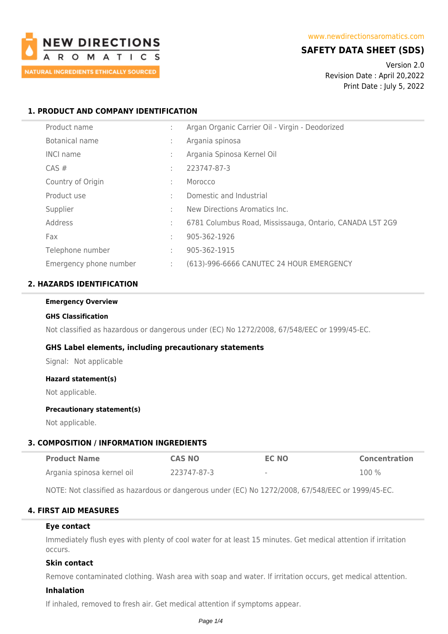

# **SAFETY DATA SHEET (SDS)**

Version 2.0 Revision Date : April 20,2022 Print Date : July 5, 2022

# **1. PRODUCT AND COMPANY IDENTIFICATION**

| Product name           | ÷                 | Argan Organic Carrier Oil - Virgin - Deodorized          |
|------------------------|-------------------|----------------------------------------------------------|
| Botanical name         | ÷                 | Argania spinosa                                          |
| <b>INCI name</b>       | ٠<br>$\mathbf{r}$ | Argania Spinosa Kernel Oil                               |
| $CAS \#$               | ÷                 | 223747-87-3                                              |
| Country of Origin      | ÷                 | Morocco                                                  |
| Product use            | ÷                 | Domestic and Industrial                                  |
| Supplier               | ÷                 | New Directions Aromatics Inc.                            |
| Address                | ÷                 | 6781 Columbus Road, Mississauga, Ontario, CANADA L5T 2G9 |
| Fax                    | ÷                 | 905-362-1926                                             |
| Telephone number       | ÷                 | 905-362-1915                                             |
| Emergency phone number | ÷                 | (613)-996-6666 CANUTEC 24 HOUR EMERGENCY                 |

# **2. HAZARDS IDENTIFICATION**

#### **Emergency Overview**

#### **GHS Classification**

Not classified as hazardous or dangerous under (EC) No 1272/2008, 67/548/EEC or 1999/45-EC.

## **GHS Label elements, including precautionary statements**

Signal: Not applicable

#### **Hazard statement(s)**

Not applicable.

#### **Precautionary statement(s)**

Not applicable.

## **3. COMPOSITION / INFORMATION INGREDIENTS**

| <b>Product Name</b>        | <b>CAS NO</b> | <b>EC NO</b>             | <b>Concentration</b> |
|----------------------------|---------------|--------------------------|----------------------|
| Argania spinosa kernel oil | 223747-87-3   | $\overline{\phantom{a}}$ | $100\%$              |

NOTE: Not classified as hazardous or dangerous under (EC) No 1272/2008, 67/548/EEC or 1999/45-EC.

# **4. FIRST AID MEASURES**

# **Eye contact**

Immediately flush eyes with plenty of cool water for at least 15 minutes. Get medical attention if irritation occurs.

# **Skin contact**

Remove contaminated clothing. Wash area with soap and water. If irritation occurs, get medical attention.

### **Inhalation**

If inhaled, removed to fresh air. Get medical attention if symptoms appear.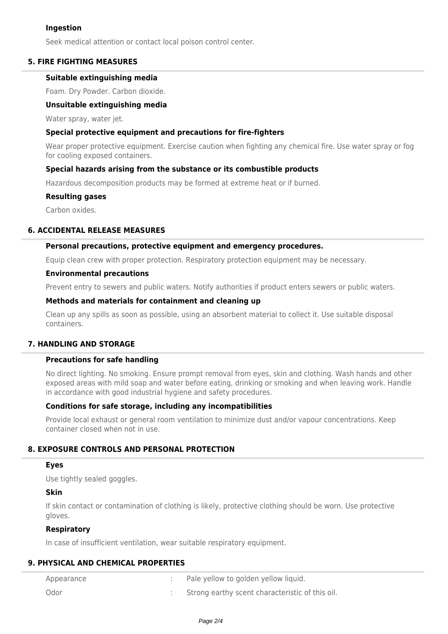# **Ingestion**

Seek medical attention or contact local poison control center.

# **5. FIRE FIGHTING MEASURES**

## **Suitable extinguishing media**

Foam. Dry Powder. Carbon dioxide.

## **Unsuitable extinguishing media**

Water spray, water jet.

### **Special protective equipment and precautions for fire-fighters**

Wear proper protective equipment. Exercise caution when fighting any chemical fire. Use water spray or fog for cooling exposed containers.

## **Special hazards arising from the substance or its combustible products**

Hazardous decomposition products may be formed at extreme heat or if burned.

#### **Resulting gases**

Carbon oxides.

## **6. ACCIDENTAL RELEASE MEASURES**

### **Personal precautions, protective equipment and emergency procedures.**

Equip clean crew with proper protection. Respiratory protection equipment may be necessary.

### **Environmental precautions**

Prevent entry to sewers and public waters. Notify authorities if product enters sewers or public waters.

## **Methods and materials for containment and cleaning up**

Clean up any spills as soon as possible, using an absorbent material to collect it. Use suitable disposal containers.

# **7. HANDLING AND STORAGE**

# **Precautions for safe handling**

No direct lighting. No smoking. Ensure prompt removal from eyes, skin and clothing. Wash hands and other exposed areas with mild soap and water before eating, drinking or smoking and when leaving work. Handle in accordance with good industrial hygiene and safety procedures.

## **Conditions for safe storage, including any incompatibilities**

Provide local exhaust or general room ventilation to minimize dust and/or vapour concentrations. Keep container closed when not in use.

# **8. EXPOSURE CONTROLS AND PERSONAL PROTECTION**

### **Eyes**

Use tightly sealed goggles.

# **Skin**

If skin contact or contamination of clothing is likely, protective clothing should be worn. Use protective gloves.

## **Respiratory**

In case of insufficient ventilation, wear suitable respiratory equipment.

#### **9. PHYSICAL AND CHEMICAL PROPERTIES**

| Appearance | Pale yellow to golden yellow liquid.            |
|------------|-------------------------------------------------|
| Odor       | Strong earthy scent characteristic of this oil. |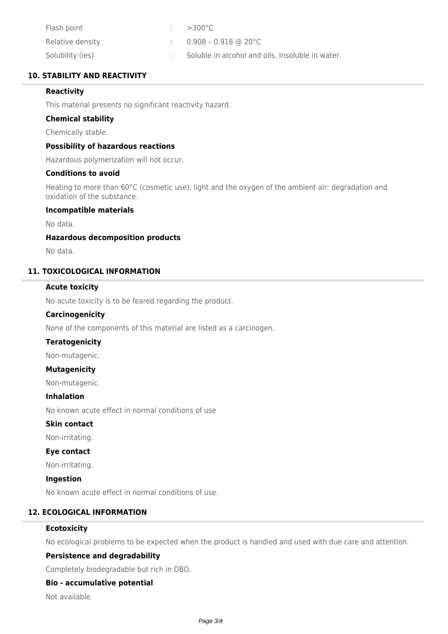| Flash point      | $\therefore$ >300 °C                             |
|------------------|--------------------------------------------------|
| Relative density | $0.908$ – $0.918$ @ 20°C                         |
| Solubility (ies) | Soluble in alcohol and oils. Insoluble in water. |

# **10. STABILITY AND REACTIVITY**

# **Reactivity**

This material presents no significant reactivity hazard.

### **Chemical stability**

Chemically stable.

# **Possibility of hazardous reactions**

Hazardous polymerization will not occur.

## **Conditions to avoid**

Heating to more than 60°C (cosmetic use), light and the oxygen of the ambient air: degradation and oxidation of the substance.

# **Incompatible materials**

No data.

### **Hazardous decomposition products**

No data.

# **11. TOXICOLOGICAL INFORMATION**

# **Acute toxicity**

No acute toxicity is to be feared regarding the product.

### **Carcinogenicity**

None of the components of this material are listed as a carcinogen.

# **Teratogenicity**

Non-mutagenic.

## **Mutagenicity**

Non-mutagenic.

### **Inhalation**

No known acute effect in normal conditions of use

# **Skin contact**

Non-irritating.

# **Eye contact**

Non-irritating.

#### **Ingestion**

No known acute effect in normal conditions of use.

# **12. ECOLOGICAL INFORMATION**

## **Ecotoxicity**

No ecological problems to be expected when the product is handled and used with due care and attention.

## **Persistence and degradability**

Completely biodegradable but rich in DBO.

## **Bio - accumulative potential**

Not available.